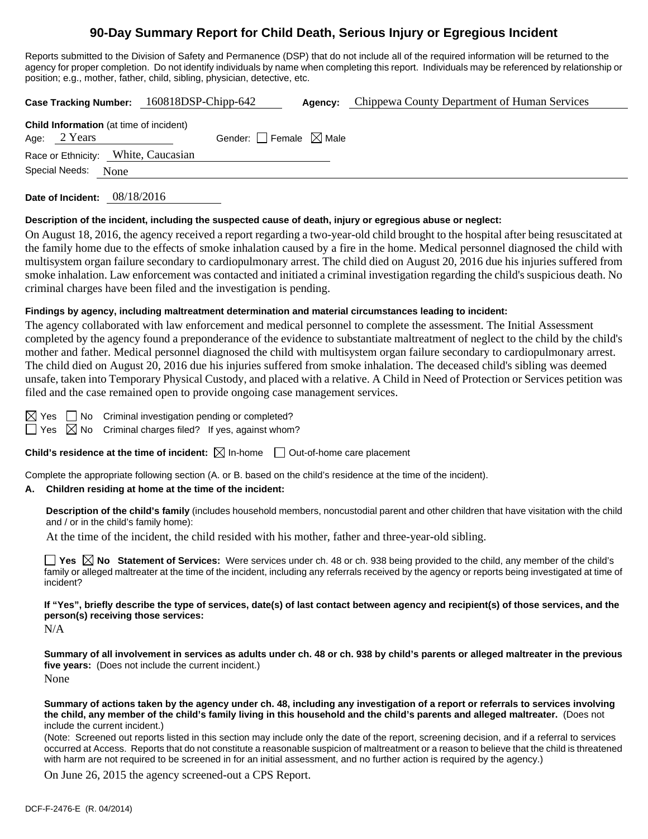# **90-Day Summary Report for Child Death, Serious Injury or Egregious Incident**

Reports submitted to the Division of Safety and Permanence (DSP) that do not include all of the required information will be returned to the agency for proper completion. Do not identify individuals by name when completing this report. Individuals may be referenced by relationship or position; e.g., mother, father, child, sibling, physician, detective, etc.

**Case Tracking Number:** 160818DSP-Chipp-642 **Agency:** Chippewa County Department of Human Services

| <b>Child Information</b> (at time of incident)<br>Age: 2 Years | Gender: Female $\boxtimes$ Male |  |
|----------------------------------------------------------------|---------------------------------|--|
| Race or Ethnicity: White, Caucasian                            |                                 |  |
| Special Needs:<br>None                                         |                                 |  |
|                                                                |                                 |  |

**Date of Incident:** 08/18/2016

### **Description of the incident, including the suspected cause of death, injury or egregious abuse or neglect:**

On August 18, 2016, the agency received a report regarding a two-year-old child brought to the hospital after being resuscitated at the family home due to the effects of smoke inhalation caused by a fire in the home. Medical personnel diagnosed the child with multisystem organ failure secondary to cardiopulmonary arrest. The child died on August 20, 2016 due his injuries suffered from smoke inhalation. Law enforcement was contacted and initiated a criminal investigation regarding the child's suspicious death. No criminal charges have been filed and the investigation is pending.

### **Findings by agency, including maltreatment determination and material circumstances leading to incident:**

The agency collaborated with law enforcement and medical personnel to complete the assessment. The Initial Assessment completed by the agency found a preponderance of the evidence to substantiate maltreatment of neglect to the child by the child's mother and father. Medical personnel diagnosed the child with multisystem organ failure secondary to cardiopulmonary arrest. The child died on August 20, 2016 due his injuries suffered from smoke inhalation. The deceased child's sibling was deemed unsafe, taken into Temporary Physical Custody, and placed with a relative. A Child in Need of Protection or Services petition was filed and the case remained open to provide ongoing case management services.

 $\boxtimes$  Yes  $\Box$  No Criminal investigation pending or completed?

 $\Box$  Yes  $\boxtimes$  No Criminal charges filed? If yes, against whom?

### **Child's residence at the time of incident:**  $\boxtimes$  In-home  $\Box$  Out-of-home care placement

Complete the appropriate following section (A. or B. based on the child's residence at the time of the incident).

### **A. Children residing at home at the time of the incident:**

**Description of the child's family** (includes household members, noncustodial parent and other children that have visitation with the child and / or in the child's family home):

At the time of the incident, the child resided with his mother, father and three-year-old sibling.

**Yes**  $\boxtimes$  **No** Statement of Services: Were services under ch. 48 or ch. 938 being provided to the child, any member of the child's family or alleged maltreater at the time of the incident, including any referrals received by the agency or reports being investigated at time of incident?

**If "Yes", briefly describe the type of services, date(s) of last contact between agency and recipient(s) of those services, and the person(s) receiving those services:** 

N/A

**Summary of all involvement in services as adults under ch. 48 or ch. 938 by child's parents or alleged maltreater in the previous five years:** (Does not include the current incident.) None

**Summary of actions taken by the agency under ch. 48, including any investigation of a report or referrals to services involving the child, any member of the child's family living in this household and the child's parents and alleged maltreater.** (Does not include the current incident.)

(Note: Screened out reports listed in this section may include only the date of the report, screening decision, and if a referral to services occurred at Access. Reports that do not constitute a reasonable suspicion of maltreatment or a reason to believe that the child is threatened with harm are not required to be screened in for an initial assessment, and no further action is required by the agency.)

On June 26, 2015 the agency screened-out a CPS Report.